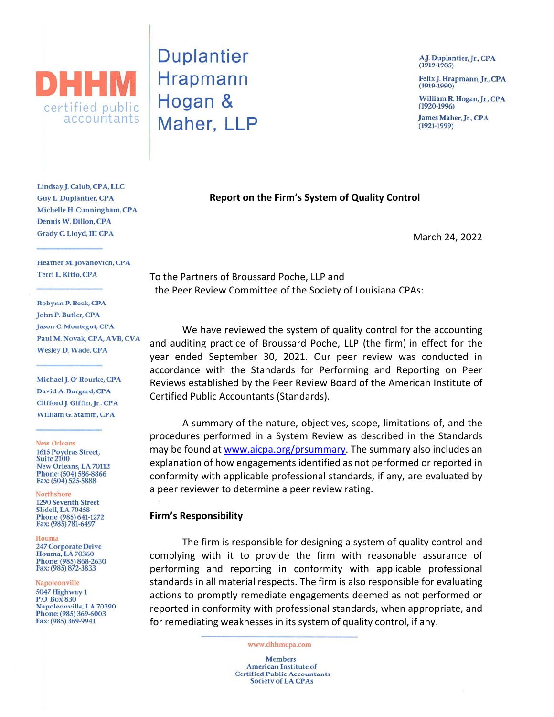

**Duplantier Hrapmann** Hogan & Maher, LLP

A.J. Duplantier, Jr., CPA  $(1919-1985)$ Felix J. Hrapmann, Jr., CPA  $(1919-1990)$ William R. Hogan, Jr., CPA  $(1920-1996)$ James Maher, Jr., CPA

 $(1921 - 1999)$ 

March 24, 2022

Lindsay J. Calub, CPA, LLC **Guy L. Duplantier, CPA** Michelle H. Cunningham, CPA Dennis W. Dillon, CPA Grady C. Lloyd, III CPA

Heather M. Jovanovich, CPA Terri L. Kitto, CPA

Robynn P. Beck, CPA John P. Butler, CPA Jason C. Montegut, CPA Paul M. Novak, CPA, AVB, CVA **Wesley D. Wade, CPA** 

Michael J. O' Rourke, CPA David A. Burgard, CPA Clifford J. Giffin, Jr., CPA William G. Stamm, CPA

**New Orleans** 

1615 Poydras Street, **Suite 2100** New Orleans, LA 70112 Phone: (504) 586-8866 Fax: (504) 525-5888

Northshore 1290 Seventh Street **Slidell, LA 70458** Phone: (985) 641-1272 Fax: (985) 781-6497

#### Houma **247 Corporate Drive Houma**, LA 70360 Phone: (985) 868-2630 Fax: (985) 872-3833

Napoleonville 5047 Highway 1 **P.O. Box 830** Napoleonville, LA 70390 Phone: (985) 369-6003 Fax: (985) 369-9941

To the Partners of Broussard Poche, LLP and the Peer Review Committee of the Society of Louisiana CPAs:

We have reviewed the system of quality control for the accounting and auditing practice of Broussard Poche, LLP (the firm) in effect for the year ended September 30, 2021. Our peer review was conducted in accordance with the Standards for Performing and Reporting on Peer Reviews established by the Peer Review Board of the American Institute of Certified Public Accountants (Standards).

**Report on the Firm's System of Quality Control** 

A summary of the nature, objectives, scope, limitations of, and the procedures performed in a System Review as described in the Standards may be found at www.aicpa.org/prsummary. The summary also includes an explanation of how engagements identified as not performed or reported in conformity with applicable professional standards, if any, are evaluated by a peer reviewer to determine a peer review rating.

### **Firm's Responsibility**

The firm is responsible for designing a system of quality control and complying with it to provide the firm with reasonable assurance of performing and reporting in conformity with applicable professional standards in all material respects. The firm is also responsible for evaluating actions to promptly remediate engagements deemed as not performed or reported in conformity with professional standards, when appropriate, and for remediating weaknesses in its system of quality control, if any.

www.dhhmcpa.com

**Members American Institute of Certified Public Accountants Society of LA CPAs**